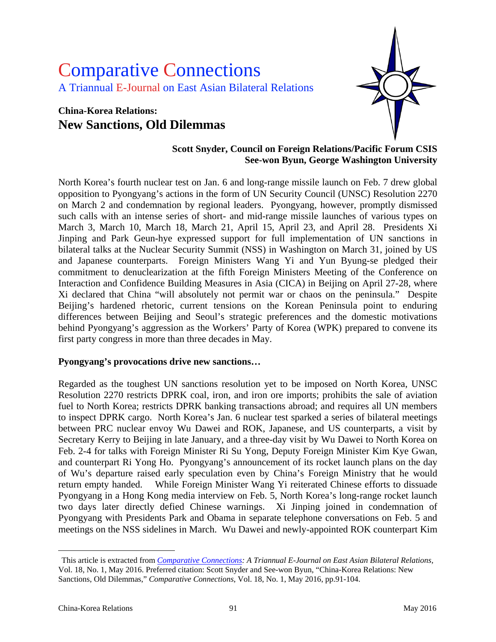# Comparative Connections A Triannual E-Journal on East Asian Bilateral Relations

## **China-Korea Relations: New Sanctions, Old Dilemmas**



#### **Scott Snyder, Council on Foreign Relations/Pacific Forum CSIS See-won Byun, George Washington University**

North Korea's fourth nuclear test on Jan. 6 and long-range missile launch on Feb. 7 drew global opposition to Pyongyang's actions in the form of UN Security Council (UNSC) Resolution 2270 on March 2 and condemnation by regional leaders. Pyongyang, however, promptly dismissed such calls with an intense series of short- and mid-range missile launches of various types on March 3, March 10, March 18, March 21, April 15, April 23, and April 28. Presidents Xi Jinping and Park Geun-hye expressed support for full implementation of UN sanctions in bilateral talks at the Nuclear Security Summit (NSS) in Washington on March 31, joined by US and Japanese counterparts. Foreign Ministers Wang Yi and Yun Byung-se pledged their commitment to denuclearization at the fifth Foreign Ministers Meeting of the Conference on Interaction and Confidence Building Measures in Asia (CICA) in Beijing on April 27-28, where Xi declared that China "will absolutely not permit war or chaos on the peninsula." Despite Beijing's hardened rhetoric, current tensions on the Korean Peninsula point to enduring differences between Beijing and Seoul's strategic preferences and the domestic motivations behind Pyongyang's aggression as the Workers' Party of Korea (WPK) prepared to convene its first party congress in more than three decades in May.

#### **Pyongyang's provocations drive new sanctions…**

Regarded as the toughest UN sanctions resolution yet to be imposed on North Korea, UNSC Resolution 2270 restricts DPRK coal, iron, and iron ore imports; prohibits the sale of aviation fuel to North Korea; restricts DPRK banking transactions abroad; and requires all UN members to inspect DPRK cargo. North Korea's Jan. 6 nuclear test sparked a series of bilateral meetings between PRC nuclear envoy Wu Dawei and ROK, Japanese, and US counterparts, a visit by Secretary Kerry to Beijing in late January, and a three-day visit by Wu Dawei to North Korea on Feb. 2-4 for talks with Foreign Minister Ri Su Yong, Deputy Foreign Minister Kim Kye Gwan, and counterpart Ri Yong Ho. Pyongyang's announcement of its rocket launch plans on the day of Wu's departure raised early speculation even by China's Foreign Ministry that he would return empty handed. While Foreign Minister Wang Yi reiterated Chinese efforts to dissuade Pyongyang in a Hong Kong media interview on Feb. 5, North Korea's long-range rocket launch two days later directly defied Chinese warnings. Xi Jinping joined in condemnation of Pyongyang with Presidents Park and Obama in separate telephone conversations on Feb. 5 and meetings on the NSS sidelines in March. Wu Dawei and newly-appointed ROK counterpart Kim

 $\overline{a}$ 

<span id="page-0-0"></span>This article is extracted from *[Comparative Connections:](http://csis.org/program/comparative-connections) A Triannual E-Journal on East Asian Bilateral Relations,*  Vol. 18, No. 1, May 2016. Preferred citation: Scott Snyder and See-won Byun, "China-Korea Relations: New Sanctions, Old Dilemmas," *Comparative Connections*, Vol. 18, No. 1, May 2016, pp.91-104.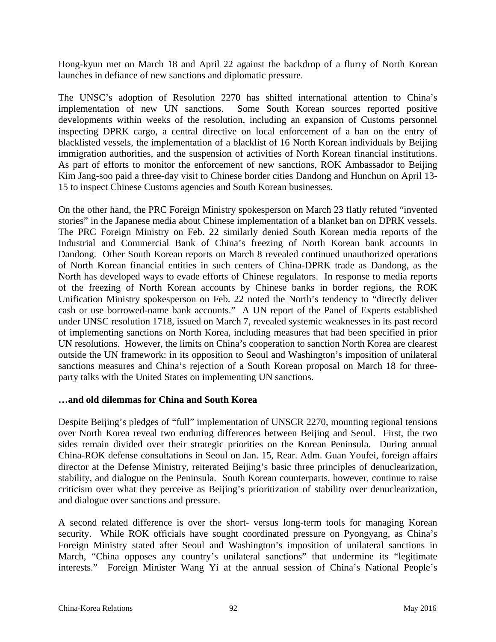Hong-kyun met on March 18 and April 22 against the backdrop of a flurry of North Korean launches in defiance of new sanctions and diplomatic pressure.

The UNSC's adoption of Resolution 2270 has shifted international attention to China's implementation of new UN sanctions. Some South Korean sources reported positive developments within weeks of the resolution, including an expansion of Customs personnel inspecting DPRK cargo, a central directive on local enforcement of a ban on the entry of blacklisted vessels, the implementation of a blacklist of 16 North Korean individuals by Beijing immigration authorities, and the suspension of activities of North Korean financial institutions. As part of efforts to monitor the enforcement of new sanctions, ROK Ambassador to Beijing Kim Jang-soo paid a three-day visit to Chinese border cities Dandong and Hunchun on April 13- 15 to inspect Chinese Customs agencies and South Korean businesses.

On the other hand, the PRC Foreign Ministry spokesperson on March 23 flatly refuted "invented stories" in the Japanese media about Chinese implementation of a blanket ban on DPRK vessels. The PRC Foreign Ministry on Feb. 22 similarly denied South Korean media reports of the Industrial and Commercial Bank of China's freezing of North Korean bank accounts in Dandong. Other South Korean reports on March 8 revealed continued unauthorized operations of North Korean financial entities in such centers of China-DPRK trade as Dandong, as the North has developed ways to evade efforts of Chinese regulators. In response to media reports of the freezing of North Korean accounts by Chinese banks in border regions, the ROK Unification Ministry spokesperson on Feb. 22 noted the North's tendency to "directly deliver cash or use borrowed-name bank accounts." A UN report of the Panel of Experts established under UNSC resolution 1718, issued on March 7, revealed systemic weaknesses in its past record of implementing sanctions on North Korea, including measures that had been specified in prior UN resolutions. However, the limits on China's cooperation to sanction North Korea are clearest outside the UN framework: in its opposition to Seoul and Washington's imposition of unilateral sanctions measures and China's rejection of a South Korean proposal on March 18 for threeparty talks with the United States on implementing UN sanctions.

#### **…and old dilemmas for China and South Korea**

Despite Beijing's pledges of "full" implementation of UNSCR 2270, mounting regional tensions over North Korea reveal two enduring differences between Beijing and Seoul. First, the two sides remain divided over their strategic priorities on the Korean Peninsula. During annual China-ROK defense consultations in Seoul on Jan. 15, Rear. Adm. Guan Youfei, foreign affairs director at the Defense Ministry, reiterated Beijing's basic three principles of denuclearization, stability, and dialogue on the Peninsula. South Korean counterparts, however, continue to raise criticism over what they perceive as Beijing's prioritization of stability over denuclearization, and dialogue over sanctions and pressure.

A second related difference is over the short- versus long-term tools for managing Korean security. While ROK officials have sought coordinated pressure on Pyongyang, as China's Foreign Ministry stated after Seoul and Washington's imposition of unilateral sanctions in March, "China opposes any country's unilateral sanctions" that undermine its "legitimate interests." Foreign Minister Wang Yi at the annual session of China's National People's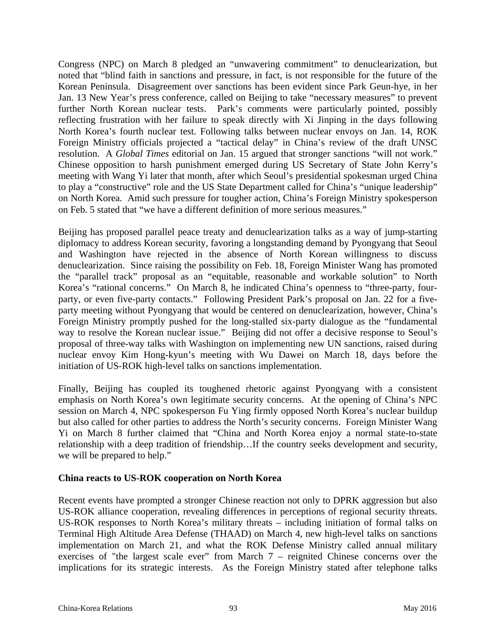Congress (NPC) on March 8 pledged an "unwavering commitment" to denuclearization, but noted that "blind faith in sanctions and pressure, in fact, is not responsible for the future of the Korean Peninsula. Disagreement over sanctions has been evident since Park Geun-hye, in her Jan. 13 New Year's press conference, called on Beijing to take "necessary measures" to prevent further North Korean nuclear tests. Park's comments were particularly pointed, possibly reflecting frustration with her failure to speak directly with Xi Jinping in the days following North Korea's fourth nuclear test. Following talks between nuclear envoys on Jan. 14, ROK Foreign Ministry officials projected a "tactical delay" in China's review of the draft UNSC resolution. A *Global Times* editorial on Jan. 15 argued that stronger sanctions "will not work." Chinese opposition to harsh punishment emerged during US Secretary of State John Kerry's meeting with Wang Yi later that month, after which Seoul's presidential spokesman urged China to play a "constructive" role and the US State Department called for China's "unique leadership" on North Korea. Amid such pressure for tougher action, China's Foreign Ministry spokesperson on Feb. 5 stated that "we have a different definition of more serious measures."

Beijing has proposed parallel peace treaty and denuclearization talks as a way of jump-starting diplomacy to address Korean security, favoring a longstanding demand by Pyongyang that Seoul and Washington have rejected in the absence of North Korean willingness to discuss denuclearization. Since raising the possibility on Feb. 18, Foreign Minister Wang has promoted the "parallel track" proposal as an "equitable, reasonable and workable solution" to North Korea's "rational concerns." On March 8, he indicated China's openness to "three-party, fourparty, or even five-party contacts." Following President Park's proposal on Jan. 22 for a fiveparty meeting without Pyongyang that would be centered on denuclearization, however, China's Foreign Ministry promptly pushed for the long-stalled six-party dialogue as the "fundamental way to resolve the Korean nuclear issue." Beijing did not offer a decisive response to Seoul's proposal of three-way talks with Washington on implementing new UN sanctions, raised during nuclear envoy Kim Hong-kyun's meeting with Wu Dawei on March 18, days before the initiation of US-ROK high-level talks on sanctions implementation.

Finally, Beijing has coupled its toughened rhetoric against Pyongyang with a consistent emphasis on North Korea's own legitimate security concerns. At the opening of China's NPC session on March 4, NPC spokesperson Fu Ying firmly opposed North Korea's nuclear buildup but also called for other parties to address the North's security concerns. Foreign Minister Wang Yi on March 8 further claimed that "China and North Korea enjoy a normal state-to-state relationship with a deep tradition of friendship…If the country seeks development and security, we will be prepared to help."

#### **China reacts to US-ROK cooperation on North Korea**

Recent events have prompted a stronger Chinese reaction not only to DPRK aggression but also US-ROK alliance cooperation, revealing differences in perceptions of regional security threats. US-ROK responses to North Korea's military threats – including initiation of formal talks on Terminal High Altitude Area Defense (THAAD) on March 4, new high-level talks on sanctions implementation on March 21, and what the ROK Defense Ministry called annual military exercises of "the largest scale ever" from March 7 – reignited Chinese concerns over the implications for its strategic interests. As the Foreign Ministry stated after telephone talks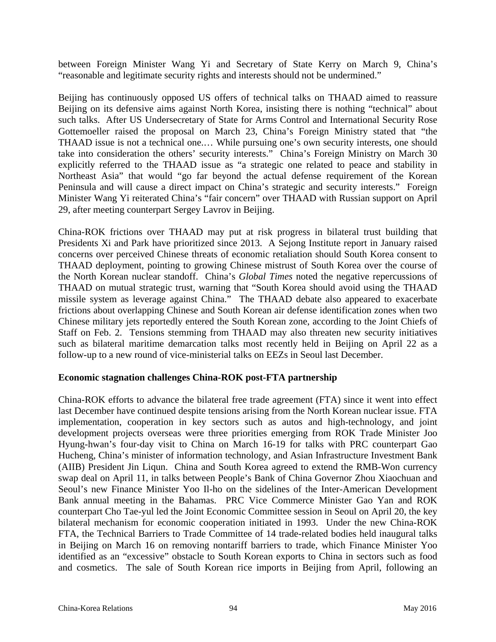between Foreign Minister Wang Yi and Secretary of State Kerry on March 9, China's "reasonable and legitimate security rights and interests should not be undermined."

Beijing has continuously opposed US offers of technical talks on THAAD aimed to reassure Beijing on its defensive aims against North Korea, insisting there is nothing "technical" about such talks. After US Undersecretary of State for Arms Control and International Security Rose Gottemoeller raised the proposal on March 23, China's Foreign Ministry stated that "the THAAD issue is not a technical one.… While pursuing one's own security interests, one should take into consideration the others' security interests." China's Foreign Ministry on March 30 explicitly referred to the THAAD issue as "a strategic one related to peace and stability in Northeast Asia" that would "go far beyond the actual defense requirement of the Korean Peninsula and will cause a direct impact on China's strategic and security interests." Foreign Minister Wang Yi reiterated China's "fair concern" over THAAD with Russian support on April 29, after meeting counterpart Sergey Lavrov in Beijing.

China-ROK frictions over THAAD may put at risk progress in bilateral trust building that Presidents Xi and Park have prioritized since 2013. A Sejong Institute report in January raised concerns over perceived Chinese threats of economic retaliation should South Korea consent to THAAD deployment, pointing to growing Chinese mistrust of South Korea over the course of the North Korean nuclear standoff. China's *Global Times* noted the negative repercussions of THAAD on mutual strategic trust, warning that "South Korea should avoid using the THAAD missile system as leverage against China." The THAAD debate also appeared to exacerbate frictions about overlapping Chinese and South Korean air defense identification zones when two Chinese military jets reportedly entered the South Korean zone, according to the Joint Chiefs of Staff on Feb. 2. Tensions stemming from THAAD may also threaten new security initiatives such as bilateral maritime demarcation talks most recently held in Beijing on April 22 as a follow-up to a new round of vice-ministerial talks on EEZs in Seoul last December.

#### **Economic stagnation challenges China-ROK post-FTA partnership**

China-ROK efforts to advance the bilateral free trade agreement (FTA) since it went into effect last December have continued despite tensions arising from the North Korean nuclear issue. FTA implementation, cooperation in key sectors such as autos and high-technology, and joint development projects overseas were three priorities emerging from ROK Trade Minister Joo Hyung-hwan's four-day visit to China on March 16-19 for talks with PRC counterpart Gao Hucheng, China's minister of information technology, and Asian Infrastructure Investment Bank (AIIB) President Jin Liqun. China and South Korea agreed to extend the RMB-Won currency swap deal on April 11, in talks between People's Bank of China Governor Zhou Xiaochuan and Seoul's new Finance Minister Yoo Il-ho on the sidelines of the Inter-American Development Bank annual meeting in the Bahamas. PRC Vice Commerce Minister Gao Yan and ROK counterpart Cho Tae-yul led the Joint Economic Committee session in Seoul on April 20, the key bilateral mechanism for economic cooperation initiated in 1993. Under the new China-ROK FTA, the Technical Barriers to Trade Committee of 14 trade-related bodies held inaugural talks in Beijing on March 16 on removing nontariff barriers to trade, which Finance Minister Yoo identified as an "excessive" obstacle to South Korean exports to China in sectors such as food and cosmetics. The sale of South Korean rice imports in Beijing from April, following an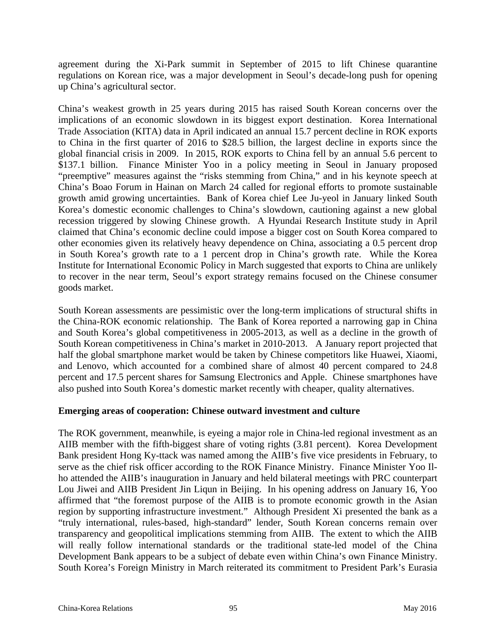agreement during the Xi-Park summit in September of 2015 to lift Chinese quarantine regulations on Korean rice, was a major development in Seoul's decade-long push for opening up China's agricultural sector.

China's weakest growth in 25 years during 2015 has raised South Korean concerns over the implications of an economic slowdown in its biggest export destination. Korea International Trade Association (KITA) data in April indicated an annual 15.7 percent decline in ROK exports to China in the first quarter of 2016 to \$28.5 billion, the largest decline in exports since the global financial crisis in 2009. In 2015, ROK exports to China fell by an annual 5.6 percent to \$137.1 billion. Finance Minister Yoo in a policy meeting in Seoul in January proposed "preemptive" measures against the "risks stemming from China," and in his keynote speech at China's Boao Forum in Hainan on March 24 called for regional efforts to promote sustainable growth amid growing uncertainties. Bank of Korea chief Lee Ju-yeol in January linked South Korea's domestic economic challenges to China's slowdown, cautioning against a new global recession triggered by slowing Chinese growth. A Hyundai Research Institute study in April claimed that China's economic decline could impose a bigger cost on South Korea compared to other economies given its relatively heavy dependence on China, associating a 0.5 percent drop in South Korea's growth rate to a 1 percent drop in China's growth rate. While the Korea Institute for International Economic Policy in March suggested that exports to China are unlikely to recover in the near term, Seoul's export strategy remains focused on the Chinese consumer goods market.

South Korean assessments are pessimistic over the long-term implications of structural shifts in the China-ROK economic relationship. The Bank of Korea reported a narrowing gap in China and South Korea's global competitiveness in 2005-2013, as well as a decline in the growth of South Korean competitiveness in China's market in 2010-2013. A January report projected that half the global smartphone market would be taken by Chinese competitors like Huawei, Xiaomi, and Lenovo, which accounted for a combined share of almost 40 percent compared to 24.8 percent and 17.5 percent shares for Samsung Electronics and Apple. Chinese smartphones have also pushed into South Korea's domestic market recently with cheaper, quality alternatives.

#### **Emerging areas of cooperation: Chinese outward investment and culture**

The ROK government, meanwhile, is eyeing a major role in China-led regional investment as an AIIB member with the fifth-biggest share of voting rights (3.81 percent). Korea Development Bank president Hong Ky-ttack was named among the AIIB's five vice presidents in February, to serve as the chief risk officer according to the ROK Finance Ministry. Finance Minister Yoo Ilho attended the AIIB's inauguration in January and held bilateral meetings with PRC counterpart Lou Jiwei and AIIB President Jin Liqun in Beijing. In his opening address on January 16, Yoo affirmed that "the foremost purpose of the AIIB is to promote economic growth in the Asian region by supporting infrastructure investment." Although President Xi presented the bank as a "truly international, rules-based, high-standard" lender, South Korean concerns remain over transparency and geopolitical implications stemming from AIIB. The extent to which the AIIB will really follow international standards or the traditional state-led model of the China Development Bank appears to be a subject of debate even within China's own Finance Ministry. South Korea's Foreign Ministry in March reiterated its commitment to President Park's Eurasia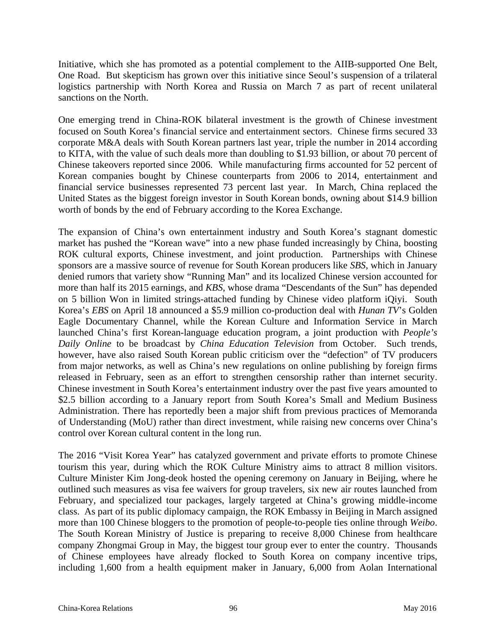Initiative, which she has promoted as a potential complement to the AIIB-supported One Belt, One Road. But skepticism has grown over this initiative since Seoul's suspension of a trilateral logistics partnership with North Korea and Russia on March 7 as part of recent unilateral sanctions on the North.

One emerging trend in China-ROK bilateral investment is the growth of Chinese investment focused on South Korea's financial service and entertainment sectors. Chinese firms secured 33 corporate M&A deals with South Korean partners last year, triple the number in 2014 according to KITA, with the value of such deals more than doubling to \$1.93 billion, or about 70 percent of Chinese takeovers reported since 2006. While manufacturing firms accounted for 52 percent of Korean companies bought by Chinese counterparts from 2006 to 2014, entertainment and financial service businesses represented 73 percent last year. In March, China replaced the United States as the biggest foreign investor in South Korean bonds, owning about \$14.9 billion worth of bonds by the end of February according to the Korea Exchange.

The expansion of China's own entertainment industry and South Korea's stagnant domestic market has pushed the "Korean wave" into a new phase funded increasingly by China, boosting ROK cultural exports, Chinese investment, and joint production. Partnerships with Chinese sponsors are a massive source of revenue for South Korean producers like *SBS*, which in January denied rumors that variety show "Running Man" and its localized Chinese version accounted for more than half its 2015 earnings, and *KBS*, whose drama "Descendants of the Sun" has depended on 5 billion Won in limited strings-attached funding by Chinese video platform iQiyi. South Korea's *EBS* on April 18 announced a \$5.9 million co-production deal with *Hunan TV*'s Golden Eagle Documentary Channel, while the Korean Culture and Information Service in March launched China's first Korean-language education program, a joint production with *People's Daily Online* to be broadcast by *China Education Television* from October. Such trends, however, have also raised South Korean public criticism over the "defection" of TV producers from major networks, as well as China's new regulations on online publishing by foreign firms released in February, seen as an effort to strengthen censorship rather than internet security. Chinese investment in South Korea's entertainment industry over the past five years amounted to \$2.5 billion according to a January report from South Korea's Small and Medium Business Administration. There has reportedly been a major shift from previous practices of Memoranda of Understanding (MoU) rather than direct investment, while raising new concerns over China's control over Korean cultural content in the long run.

The 2016 "Visit Korea Year" has catalyzed government and private efforts to promote Chinese tourism this year, during which the ROK Culture Ministry aims to attract 8 million visitors. Culture Minister Kim Jong-deok hosted the opening ceremony on January in Beijing, where he outlined such measures as visa fee waivers for group travelers, six new air routes launched from February, and specialized tour packages, largely targeted at China's growing middle-income class. As part of its public diplomacy campaign, the ROK Embassy in Beijing in March assigned more than 100 Chinese bloggers to the promotion of people-to-people ties online through *Weibo*. The South Korean Ministry of Justice is preparing to receive 8,000 Chinese from healthcare company Zhongmai Group in May, the biggest tour group ever to enter the country. Thousands of Chinese employees have already flocked to South Korea on company incentive trips, including 1,600 from a health equipment maker in January, 6,000 from Aolan International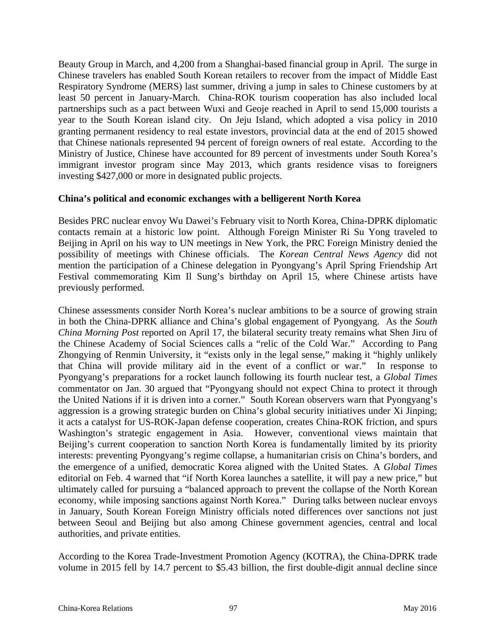Beauty Group in March, and 4,200 from a Shanghai-based financial group in April. The surge in Chinese travelers has enabled South Korean retailers to recover from the impact of Middle East Respiratory Syndrome (MERS) last summer, driving a jump in sales to Chinese customers by at least 50 percent in January-March. China-ROK tourism cooperation has also included local partnerships such as a pact between Wuxi and Geoje reached in April to send 15,000 tourists a year to the South Korean island city. On Jeju Island, which adopted a visa policy in 2010 granting permanent residency to real estate investors, provincial data at the end of 2015 showed that Chinese nationals represented 94 percent of foreign owners of real estate. According to the Ministry of Justice, Chinese have accounted for 89 percent of investments under South Korea's immigrant investor program since May 2013, which grants residence visas to foreigners investing \$427,000 or more in designated public projects.

#### **China's political and economic exchanges with a belligerent North Korea**

Besides PRC nuclear envoy Wu Dawei's February visit to North Korea, China-DPRK diplomatic contacts remain at a historic low point. Although Foreign Minister Ri Su Yong traveled to Beijing in April on his way to UN meetings in New York, the PRC Foreign Ministry denied the possibility of meetings with Chinese officials. The *Korean Central News Agency* did not mention the participation of a Chinese delegation in Pyongyang's April Spring Friendship Art Festival commemorating Kim Il Sung's birthday on April 15, where Chinese artists have previously performed.

Chinese assessments consider North Korea's nuclear ambitions to be a source of growing strain in both the China-DPRK alliance and China's global engagement of Pyongyang. As the *South China Morning Post* reported on April 17, the bilateral security treaty remains what Shen Jiru of the Chinese Academy of Social Sciences calls a "relic of the Cold War." According to Pang Zhongying of Renmin University, it "exists only in the legal sense," making it "highly unlikely that China will provide military aid in the event of a conflict or war." In response to Pyongyang's preparations for a rocket launch following its fourth nuclear test, a *Global Times* commentator on Jan. 30 argued that "Pyongyang should not expect China to protect it through the United Nations if it is driven into a corner." South Korean observers warn that Pyongyang's aggression is a growing strategic burden on China's global security initiatives under Xi Jinping; it acts a catalyst for US-ROK-Japan defense cooperation, creates China-ROK friction, and spurs Washington's strategic engagement in Asia. However, conventional views maintain that Beijing's current cooperation to sanction North Korea is fundamentally limited by its priority interests: preventing Pyongyang's regime collapse, a humanitarian crisis on China's borders, and the emergence of a unified, democratic Korea aligned with the United States. A *Global Times* editorial on Feb. 4 warned that "if North Korea launches a satellite, it will pay a new price," but ultimately called for pursuing a "balanced approach to prevent the collapse of the North Korean economy, while imposing sanctions against North Korea." During talks between nuclear envoys in January, South Korean Foreign Ministry officials noted differences over sanctions not just between Seoul and Beijing but also among Chinese government agencies, central and local authorities, and private entities.

According to the Korea Trade-Investment Promotion Agency (KOTRA), the China-DPRK trade volume in 2015 fell by 14.7 percent to \$5.43 billion, the first double-digit annual decline since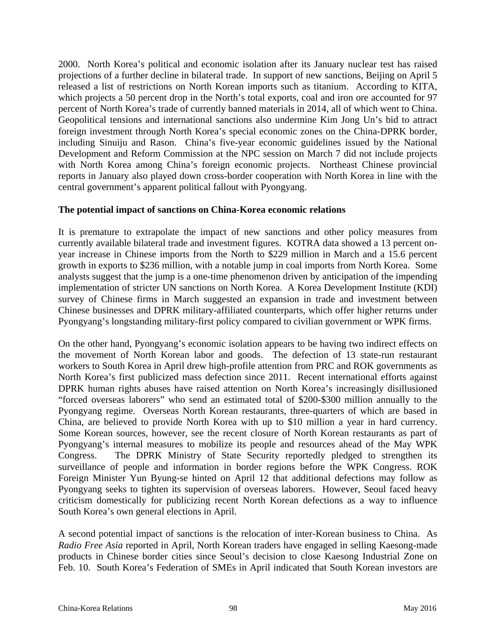2000. North Korea's political and economic isolation after its January nuclear test has raised projections of a further decline in bilateral trade. In support of new sanctions, Beijing on April 5 released a list of restrictions on North Korean imports such as titanium. According to KITA, which projects a 50 percent drop in the North's total exports, coal and iron ore accounted for 97 percent of North Korea's trade of currently banned materials in 2014, all of which went to China. Geopolitical tensions and international sanctions also undermine Kim Jong Un's bid to attract foreign investment through North Korea's special economic zones on the China-DPRK border, including Sinuiju and Rason. China's five-year economic guidelines issued by the National Development and Reform Commission at the NPC session on March 7 did not include projects with North Korea among China's foreign economic projects. Northeast Chinese provincial reports in January also played down cross-border cooperation with North Korea in line with the central government's apparent political fallout with Pyongyang.

#### **The potential impact of sanctions on China-Korea economic relations**

It is premature to extrapolate the impact of new sanctions and other policy measures from currently available bilateral trade and investment figures. KOTRA data showed a 13 percent onyear increase in Chinese imports from the North to \$229 million in March and a 15.6 percent growth in exports to \$236 million, with a notable jump in coal imports from North Korea. Some analysts suggest that the jump is a one-time phenomenon driven by anticipation of the impending implementation of stricter UN sanctions on North Korea. A Korea Development Institute (KDI) survey of Chinese firms in March suggested an expansion in trade and investment between Chinese businesses and DPRK military-affiliated counterparts, which offer higher returns under Pyongyang's longstanding military-first policy compared to civilian government or WPK firms.

On the other hand, Pyongyang's economic isolation appears to be having two indirect effects on the movement of North Korean labor and goods. The defection of 13 state-run restaurant workers to South Korea in April drew high-profile attention from PRC and ROK governments as North Korea's first publicized mass defection since 2011. Recent international efforts against DPRK human rights abuses have raised attention on North Korea's increasingly disillusioned "forced overseas laborers" who send an estimated total of \$200-\$300 million annually to the Pyongyang regime. Overseas North Korean restaurants, three-quarters of which are based in China, are believed to provide North Korea with up to \$10 million a year in hard currency. Some Korean sources, however, see the recent closure of North Korean restaurants as part of Pyongyang's internal measures to mobilize its people and resources ahead of the May WPK Congress. The DPRK Ministry of State Security reportedly pledged to strengthen its surveillance of people and information in border regions before the WPK Congress. ROK Foreign Minister Yun Byung-se hinted on April 12 that additional defections may follow as Pyongyang seeks to tighten its supervision of overseas laborers. However, Seoul faced heavy criticism domestically for publicizing recent North Korean defections as a way to influence South Korea's own general elections in April.

A second potential impact of sanctions is the relocation of inter-Korean business to China. As *Radio Free Asia* reported in April, North Korean traders have engaged in selling Kaesong-made products in Chinese border cities since Seoul's decision to close Kaesong Industrial Zone on Feb. 10. South Korea's Federation of SMEs in April indicated that South Korean investors are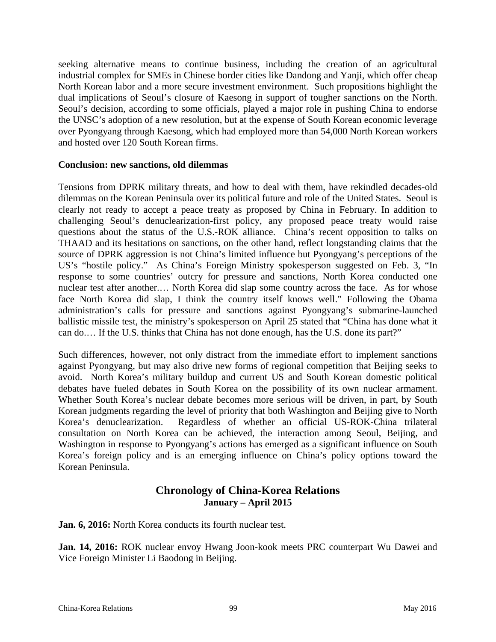seeking alternative means to continue business, including the creation of an agricultural industrial complex for SMEs in Chinese border cities like Dandong and Yanji, which offer cheap North Korean labor and a more secure investment environment. Such propositions highlight the dual implications of Seoul's closure of Kaesong in support of tougher sanctions on the North. Seoul's decision, according to some officials, played a major role in pushing China to endorse the UNSC's adoption of a new resolution, but at the expense of South Korean economic leverage over Pyongyang through Kaesong, which had employed more than 54,000 North Korean workers and hosted over 120 South Korean firms.

#### **Conclusion: new sanctions, old dilemmas**

Tensions from DPRK military threats, and how to deal with them, have rekindled decades-old dilemmas on the Korean Peninsula over its political future and role of the United States. Seoul is clearly not ready to accept a peace treaty as proposed by China in February. In addition to challenging Seoul's denuclearization-first policy, any proposed peace treaty would raise questions about the status of the U.S.-ROK alliance. China's recent opposition to talks on THAAD and its hesitations on sanctions, on the other hand, reflect longstanding claims that the source of DPRK aggression is not China's limited influence but Pyongyang's perceptions of the US's "hostile policy." As China's Foreign Ministry spokesperson suggested on Feb. 3, "In response to some countries' outcry for pressure and sanctions, North Korea conducted one nuclear test after another.… North Korea did slap some country across the face. As for whose face North Korea did slap, I think the country itself knows well." Following the Obama administration's calls for pressure and sanctions against Pyongyang's submarine-launched ballistic missile test, the ministry's spokesperson on April 25 stated that "China has done what it can do.… If the U.S. thinks that China has not done enough, has the U.S. done its part?"

Such differences, however, not only distract from the immediate effort to implement sanctions against Pyongyang, but may also drive new forms of regional competition that Beijing seeks to avoid. North Korea's military buildup and current US and South Korean domestic political debates have fueled debates in South Korea on the possibility of its own nuclear armament. Whether South Korea's nuclear debate becomes more serious will be driven, in part, by South Korean judgments regarding the level of priority that both Washington and Beijing give to North Korea's denuclearization. Regardless of whether an official US-ROK-China trilateral consultation on North Korea can be achieved, the interaction among Seoul, Beijing, and Washington in response to Pyongyang's actions has emerged as a significant influence on South Korea's foreign policy and is an emerging influence on China's policy options toward the Korean Peninsula.

### **Chronology of China-Korea Relations January – April 2015**

**Jan. 6, 2016:** North Korea conducts its fourth nuclear test.

**Jan. 14, 2016:** ROK nuclear envoy Hwang Joon-kook meets PRC counterpart Wu Dawei and Vice Foreign Minister Li Baodong in Beijing.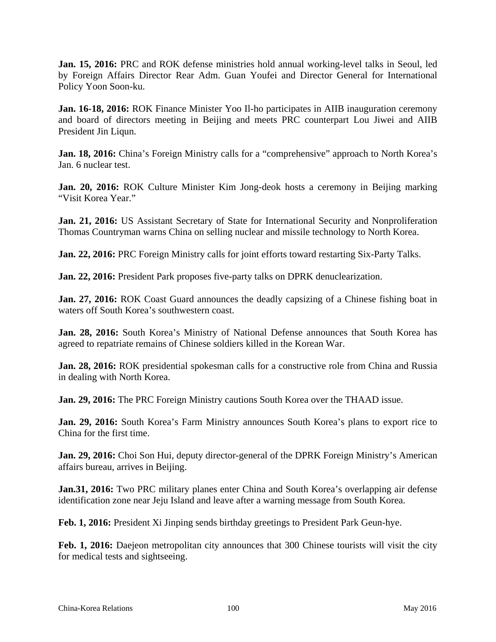**Jan. 15, 2016:** PRC and ROK defense ministries hold annual working-level talks in Seoul, led by Foreign Affairs Director Rear Adm. Guan Youfei and Director General for International Policy Yoon Soon-ku.

**Jan. 16-18, 2016:** ROK Finance Minister Yoo Il-ho participates in AIIB inauguration ceremony and board of directors meeting in Beijing and meets PRC counterpart Lou Jiwei and AIIB President Jin Liqun.

**Jan. 18, 2016:** China's Foreign Ministry calls for a "comprehensive" approach to North Korea's Jan. 6 nuclear test.

Jan. 20, 2016: ROK Culture Minister Kim Jong-deok hosts a ceremony in Beijing marking "Visit Korea Year."

**Jan. 21, 2016:** US Assistant Secretary of State for International Security and Nonproliferation Thomas Countryman warns China on selling nuclear and missile technology to North Korea.

**Jan. 22, 2016:** PRC Foreign Ministry calls for joint efforts toward restarting Six-Party Talks.

**Jan. 22, 2016:** President Park proposes five-party talks on DPRK denuclearization.

**Jan. 27, 2016:** ROK Coast Guard announces the deadly capsizing of a Chinese fishing boat in waters off South Korea's southwestern coast.

**Jan. 28, 2016:** South Korea's Ministry of National Defense announces that South Korea has agreed to repatriate remains of Chinese soldiers killed in the Korean War.

**Jan. 28, 2016:** ROK presidential spokesman calls for a constructive role from China and Russia in dealing with North Korea.

**Jan. 29, 2016:** The PRC Foreign Ministry cautions South Korea over the THAAD issue.

**Jan. 29, 2016:** South Korea's Farm Ministry announces South Korea's plans to export rice to China for the first time.

**Jan. 29, 2016:** Choi Son Hui, deputy director-general of the DPRK Foreign Ministry's American affairs bureau, arrives in Beijing.

**Jan.31, 2016:** Two PRC military planes enter China and South Korea's overlapping air defense identification zone near Jeju Island and leave after a warning message from South Korea.

**Feb. 1, 2016:** President Xi Jinping sends birthday greetings to President Park Geun-hye.

**Feb. 1, 2016:** Daejeon metropolitan city announces that 300 Chinese tourists will visit the city for medical tests and sightseeing.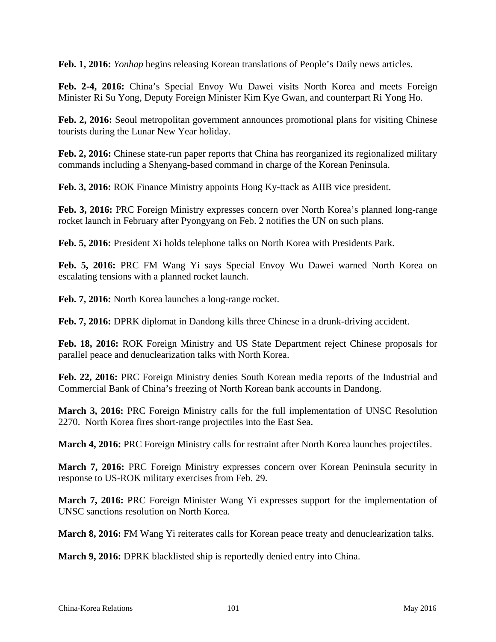**Feb. 1, 2016:** *Yonhap* begins releasing Korean translations of People's Daily news articles.

**Feb. 2-4, 2016:** China's Special Envoy Wu Dawei visits North Korea and meets Foreign Minister Ri Su Yong, Deputy Foreign Minister Kim Kye Gwan, and counterpart Ri Yong Ho.

**Feb. 2, 2016:** Seoul metropolitan government announces promotional plans for visiting Chinese tourists during the Lunar New Year holiday.

**Feb. 2, 2016:** Chinese state-run paper reports that China has reorganized its regionalized military commands including a Shenyang-based command in charge of the Korean Peninsula.

**Feb. 3, 2016:** ROK Finance Ministry appoints Hong Ky-ttack as AIIB vice president.

**Feb. 3, 2016:** PRC Foreign Ministry expresses concern over North Korea's planned long-range rocket launch in February after Pyongyang on Feb. 2 notifies the UN on such plans.

**Feb. 5, 2016:** President Xi holds telephone talks on North Korea with Presidents Park.

**Feb. 5, 2016:** PRC FM Wang Yi says Special Envoy Wu Dawei warned North Korea on escalating tensions with a planned rocket launch.

**Feb. 7, 2016:** North Korea launches a long-range rocket.

**Feb. 7, 2016:** DPRK diplomat in Dandong kills three Chinese in a drunk-driving accident.

**Feb. 18, 2016:** ROK Foreign Ministry and US State Department reject Chinese proposals for parallel peace and denuclearization talks with North Korea.

**Feb. 22, 2016:** PRC Foreign Ministry denies South Korean media reports of the Industrial and Commercial Bank of China's freezing of North Korean bank accounts in Dandong.

**March 3, 2016:** PRC Foreign Ministry calls for the full implementation of UNSC Resolution 2270. North Korea fires short-range projectiles into the East Sea.

**March 4, 2016:** PRC Foreign Ministry calls for restraint after North Korea launches projectiles.

**March 7, 2016:** PRC Foreign Ministry expresses concern over Korean Peninsula security in response to US-ROK military exercises from Feb. 29.

**March 7, 2016:** PRC Foreign Minister Wang Yi expresses support for the implementation of UNSC sanctions resolution on North Korea.

**March 8, 2016:** FM Wang Yi reiterates calls for Korean peace treaty and denuclearization talks.

**March 9, 2016:** DPRK blacklisted ship is reportedly denied entry into China.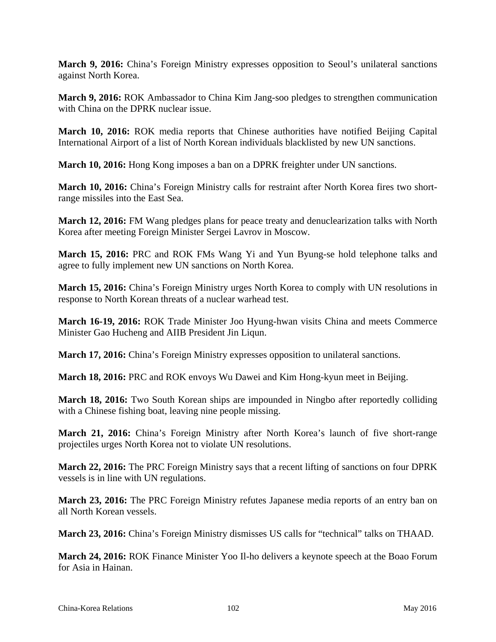**March 9, 2016:** China's Foreign Ministry expresses opposition to Seoul's unilateral sanctions against North Korea.

**March 9, 2016:** ROK Ambassador to China Kim Jang-soo pledges to strengthen communication with China on the DPRK nuclear issue.

**March 10, 2016:** ROK media reports that Chinese authorities have notified Beijing Capital International Airport of a list of North Korean individuals blacklisted by new UN sanctions.

**March 10, 2016:** Hong Kong imposes a ban on a DPRK freighter under UN sanctions.

**March 10, 2016:** China's Foreign Ministry calls for restraint after North Korea fires two shortrange missiles into the East Sea.

**March 12, 2016:** FM Wang pledges plans for peace treaty and denuclearization talks with North Korea after meeting Foreign Minister Sergei Lavrov in Moscow.

**March 15, 2016:** PRC and ROK FMs Wang Yi and Yun Byung-se hold telephone talks and agree to fully implement new UN sanctions on North Korea.

**March 15, 2016:** China's Foreign Ministry urges North Korea to comply with UN resolutions in response to North Korean threats of a nuclear warhead test.

**March 16-19, 2016:** ROK Trade Minister Joo Hyung-hwan visits China and meets Commerce Minister Gao Hucheng and AIIB President Jin Liqun.

**March 17, 2016:** China's Foreign Ministry expresses opposition to unilateral sanctions.

**March 18, 2016:** PRC and ROK envoys Wu Dawei and Kim Hong-kyun meet in Beijing.

**March 18, 2016:** Two South Korean ships are impounded in Ningbo after reportedly colliding with a Chinese fishing boat, leaving nine people missing.

**March 21, 2016:** China's Foreign Ministry after North Korea's launch of five short-range projectiles urges North Korea not to violate UN resolutions.

**March 22, 2016:** The PRC Foreign Ministry says that a recent lifting of sanctions on four DPRK vessels is in line with UN regulations.

**March 23, 2016:** The PRC Foreign Ministry refutes Japanese media reports of an entry ban on all North Korean vessels.

**March 23, 2016:** China's Foreign Ministry dismisses US calls for "technical" talks on THAAD.

**March 24, 2016:** ROK Finance Minister Yoo Il-ho delivers a keynote speech at the Boao Forum for Asia in Hainan.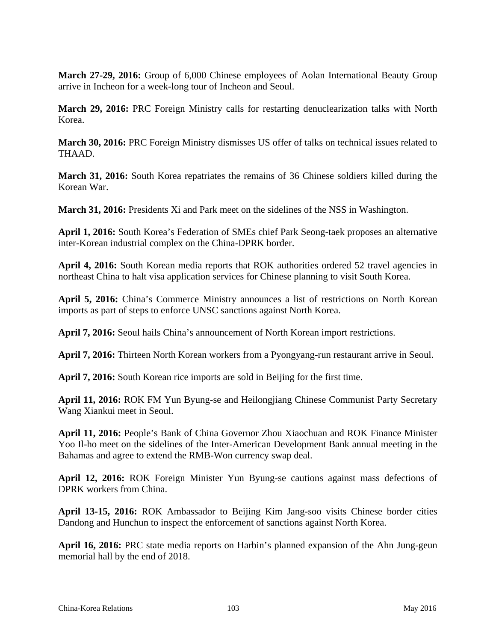**March 27-29, 2016:** Group of 6,000 Chinese employees of Aolan International Beauty Group arrive in Incheon for a week-long tour of Incheon and Seoul.

**March 29, 2016:** PRC Foreign Ministry calls for restarting denuclearization talks with North Korea.

**March 30, 2016:** PRC Foreign Ministry dismisses US offer of talks on technical issues related to THAAD.

**March 31, 2016:** South Korea repatriates the remains of 36 Chinese soldiers killed during the Korean War.

**March 31, 2016:** Presidents Xi and Park meet on the sidelines of the NSS in Washington.

**April 1, 2016:** South Korea's Federation of SMEs chief Park Seong-taek proposes an alternative inter-Korean industrial complex on the China-DPRK border.

**April 4, 2016:** South Korean media reports that ROK authorities ordered 52 travel agencies in northeast China to halt visa application services for Chinese planning to visit South Korea.

**April 5, 2016:** China's Commerce Ministry announces a list of restrictions on North Korean imports as part of steps to enforce UNSC sanctions against North Korea.

**April 7, 2016:** Seoul hails China's announcement of North Korean import restrictions.

**April 7, 2016:** Thirteen North Korean workers from a Pyongyang-run restaurant arrive in Seoul.

**April 7, 2016:** South Korean rice imports are sold in Beijing for the first time.

**April 11, 2016:** ROK FM Yun Byung-se and Heilongjiang Chinese Communist Party Secretary Wang Xiankui meet in Seoul.

**April 11, 2016:** People's Bank of China Governor Zhou Xiaochuan and ROK Finance Minister Yoo Il-ho meet on the sidelines of the Inter-American Development Bank annual meeting in the Bahamas and agree to extend the RMB-Won currency swap deal.

**April 12, 2016:** ROK Foreign Minister Yun Byung-se cautions against mass defections of DPRK workers from China.

**April 13-15, 2016:** ROK Ambassador to Beijing Kim Jang-soo visits Chinese border cities Dandong and Hunchun to inspect the enforcement of sanctions against North Korea.

**April 16, 2016:** PRC state media reports on Harbin's planned expansion of the Ahn Jung-geun memorial hall by the end of 2018.